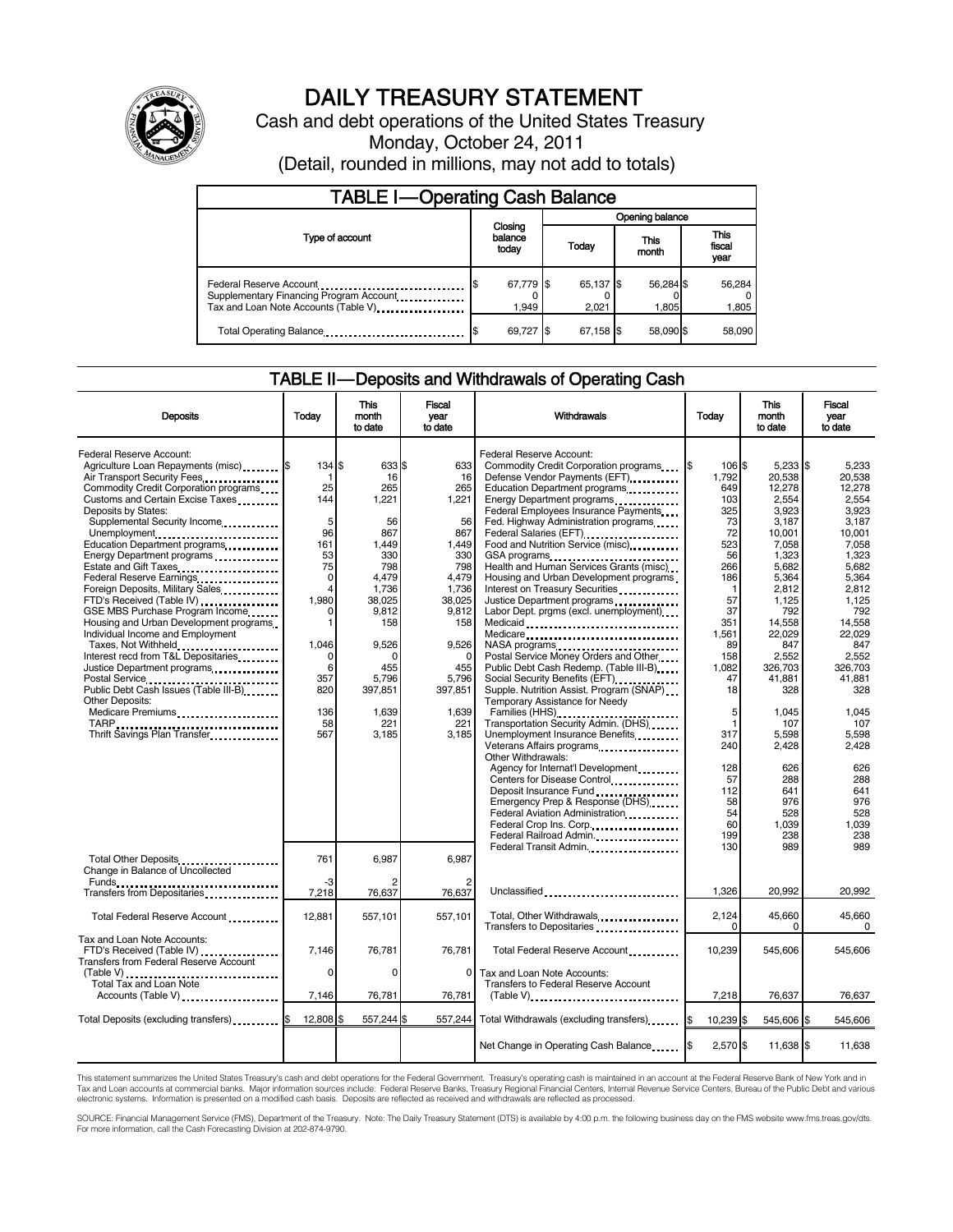

# DAILY TREASURY STATEMENT

Cash and debt operations of the United States Treasury Monday, October 24, 2011 (Detail, rounded in millions, may not add to totals)

| <b>TABLE I-Operating Cash Balance</b>                                                                       |    |                             |                        |                    |  |                               |  |                 |
|-------------------------------------------------------------------------------------------------------------|----|-----------------------------|------------------------|--------------------|--|-------------------------------|--|-----------------|
|                                                                                                             |    |                             | Opening balance        |                    |  |                               |  |                 |
| Type of account                                                                                             |    | Closing<br>balance<br>today | This<br>Today<br>month |                    |  | <b>This</b><br>fiscal<br>year |  |                 |
| Federal Reserve Account<br>Supplementary Financing Program Account.<br>Tax and Loan Note Accounts (Table V) | \$ | 67,779 \$<br>1.949          |                        | 65,137 \$<br>2.021 |  | 56,284 \$<br>1.805            |  | 56,284<br>1,805 |
| Total Operating Balance                                                                                     |    | 69,727 \$                   |                        | 67.158             |  | 58.090 \$                     |  | 58,090          |

# TABLE II — Deposits and Withdrawals of Operating Cash

| <b>Deposits</b>                                                                                                                                                                                                                                                                                                                                                                                                                                                                                                                                                                                                                                                                                                                                                                            | Todav                                                                                                                                                   | <b>This</b><br>month<br>to date                                                                                                                                                | <b>Fiscal</b><br>year<br>to date                                                                                                                                                   | Withdrawals                                                                                                                                                                                                                                                                                                                                                                                                                                                                                                                                                                                                                                                                                                                                                                                                                                                                                                                                                                                                                                                                                                                                                                                                                                                                                                                                         | Todav                                                                                                                                                                                                                                | <b>This</b><br>month<br>to date                                                                                                                                                                                                                                                     | Fiscal<br>vear<br>to date                                                                                                                                                                                                                                                        |
|--------------------------------------------------------------------------------------------------------------------------------------------------------------------------------------------------------------------------------------------------------------------------------------------------------------------------------------------------------------------------------------------------------------------------------------------------------------------------------------------------------------------------------------------------------------------------------------------------------------------------------------------------------------------------------------------------------------------------------------------------------------------------------------------|---------------------------------------------------------------------------------------------------------------------------------------------------------|--------------------------------------------------------------------------------------------------------------------------------------------------------------------------------|------------------------------------------------------------------------------------------------------------------------------------------------------------------------------------|-----------------------------------------------------------------------------------------------------------------------------------------------------------------------------------------------------------------------------------------------------------------------------------------------------------------------------------------------------------------------------------------------------------------------------------------------------------------------------------------------------------------------------------------------------------------------------------------------------------------------------------------------------------------------------------------------------------------------------------------------------------------------------------------------------------------------------------------------------------------------------------------------------------------------------------------------------------------------------------------------------------------------------------------------------------------------------------------------------------------------------------------------------------------------------------------------------------------------------------------------------------------------------------------------------------------------------------------------------|--------------------------------------------------------------------------------------------------------------------------------------------------------------------------------------------------------------------------------------|-------------------------------------------------------------------------------------------------------------------------------------------------------------------------------------------------------------------------------------------------------------------------------------|----------------------------------------------------------------------------------------------------------------------------------------------------------------------------------------------------------------------------------------------------------------------------------|
| Federal Reserve Account:<br>Agriculture Loan Repayments (misc) \$<br>Air Transport Security Fees<br>Commodity Credit Corporation programs<br>Customs and Certain Excise Taxes<br>Deposits by States:<br>Supplemental Security Income<br>Unemployment<br>Education Department programs<br>Energy Department programs<br>Estate and Gift Taxes<br>Federal Reserve Earnings<br>Foreign Deposits, Military Sales<br>FTD's Received (Table IV)<br>GSE MBS Purchase Program Income<br>Housing and Urban Development programs<br>Individual Income and Employment<br>Taxes, Not Withheld<br>Interest recd from T&L Depositaries<br>Justice Department programs<br>Postal Service<br>Public Debt Cash Issues (Table III-B)<br>Other Deposits:<br>Medicare Premiums<br>Thrift Savings Plan Transfer | 134 \$<br>25<br>144<br>5<br>96<br>161<br>53<br>75<br>0<br>$\overline{4}$<br>1.980<br>$\Omega$<br>1<br>1,046<br>0<br>6<br>357<br>820<br>136<br>58<br>567 | 633 \$<br>16<br>265<br>1.221<br>56<br>867<br>1,449<br>330<br>798<br>4.479<br>1.736<br>38.025<br>9,812<br>158<br>9,526<br>∩<br>455<br>5.796<br>397.851<br>1,639<br>221<br>3,185 | 633<br>16<br>265<br>1,221<br>56<br>867<br>1,449<br>330<br>798<br>4.479<br>1.736<br>38,025<br>9,812<br>158<br>9,526<br>$\Omega$<br>455<br>5.796<br>397.851<br>1,639<br>221<br>3,185 | Federal Reserve Account:<br>Commodity Credit Corporation programs<br>Defense Vendor Payments (EFT)<br>Education Department programs<br>Energy Department programs<br>Federal Employees Insurance Payments<br>Fed. Highway Administration programs<br>Federal Salaries (EFT)<br>1991 - Production Contract Contract Contract Contract Contract Contract Contract Contract Contract Contract Contract Contract Contract Contract Contract Contract Contract Contract Contract Contract<br>Food and Nutrition Service (misc)<br>GSA programs<br><br>Health and Human Services Grants (misc)<br>Housing and Urban Development programs<br>Interest on Treasury Securities<br>Justice Department programs<br>Labor Dept. prgms (excl. unemployment)<br>Medicaid<br>Medicare<br>Postal Service Money Orders and Other<br>Public Debt Cash Redemp. (Table III-B)<br>Social Security Benefits (EFT)<br>Supple. Nutrition Assist. Program (SNAP)<br>Temporary Assistance for Needy<br>Families (HHS)<br>Transportation Security Admin. (DHS)<br>Unemployment Insurance Benefits<br>Veterans Affairs programs<br>Other Withdrawals:<br>Agency for Internat'l Development<br>Centers for Disease Control<br>Deposit Insurance Fund<br>Emergency Prep & Response (DHS)<br>Federal Aviation Administration<br>Federal Crop Ins. Corp.<br>Federal Railroad Admin. | I\$<br>106 \$<br>1.792<br>649<br>103<br>325<br>73<br>72<br>523<br>56<br>266<br>186<br>$\mathbf 1$<br>57<br>37<br>351<br>1,561<br>89<br>158<br>1.082<br>47<br>18<br>5<br>1<br>317<br>240<br>128<br>57<br>112<br>58<br>54<br>60<br>199 | 5,233 \$<br>20,538<br>12,278<br>2,554<br>3,923<br>3,187<br>10,001<br>7,058<br>1,323<br>5,682<br>5,364<br>2,812<br>1,125<br>792<br>14,558<br>22,029<br>847<br>2,552<br>326.703<br>41.881<br>328<br>1,045<br>107<br>5,598<br>2,428<br>626<br>288<br>641<br>976<br>528<br>1.039<br>238 | 5,233<br>20.538<br>12,278<br>2.554<br>3,923<br>3,187<br>10,001<br>7.058<br>1,323<br>5.682<br>5.364<br>2.812<br>1.125<br>792<br>14,558<br>22.029<br>847<br>2,552<br>326.703<br>41.881<br>328<br>1,045<br>107<br>5.598<br>2,428<br>626<br>288<br>641<br>976<br>528<br>1.039<br>238 |
| Total Other Deposits<br>Change in Balance of Uncollected                                                                                                                                                                                                                                                                                                                                                                                                                                                                                                                                                                                                                                                                                                                                   | 761<br>-3                                                                                                                                               | 6,987                                                                                                                                                                          | 6.987                                                                                                                                                                              | Federal Transit Admin.                                                                                                                                                                                                                                                                                                                                                                                                                                                                                                                                                                                                                                                                                                                                                                                                                                                                                                                                                                                                                                                                                                                                                                                                                                                                                                                              | 130                                                                                                                                                                                                                                  | 989                                                                                                                                                                                                                                                                                 | 989                                                                                                                                                                                                                                                                              |
| Transfers from Depositaries                                                                                                                                                                                                                                                                                                                                                                                                                                                                                                                                                                                                                                                                                                                                                                | 7,218                                                                                                                                                   | 76,637                                                                                                                                                                         | 76,637                                                                                                                                                                             | Unclassified                                                                                                                                                                                                                                                                                                                                                                                                                                                                                                                                                                                                                                                                                                                                                                                                                                                                                                                                                                                                                                                                                                                                                                                                                                                                                                                                        | 1.326                                                                                                                                                                                                                                | 20.992                                                                                                                                                                                                                                                                              | 20.992                                                                                                                                                                                                                                                                           |
| Total Federal Reserve Account                                                                                                                                                                                                                                                                                                                                                                                                                                                                                                                                                                                                                                                                                                                                                              | 12,881                                                                                                                                                  | 557,101                                                                                                                                                                        | 557.101                                                                                                                                                                            | Total, Other Withdrawals<br>Transfers to Depositaries                                                                                                                                                                                                                                                                                                                                                                                                                                                                                                                                                                                                                                                                                                                                                                                                                                                                                                                                                                                                                                                                                                                                                                                                                                                                                               | 2.124<br>$\Omega$                                                                                                                                                                                                                    | 45,660<br>0                                                                                                                                                                                                                                                                         | 45.660<br>$\Omega$                                                                                                                                                                                                                                                               |
| Tax and Loan Note Accounts:<br>FTD's Received (Table IV)<br><b>Transfers from Federal Reserve Account</b><br>(Table V)                                                                                                                                                                                                                                                                                                                                                                                                                                                                                                                                                                                                                                                                     | 7,146<br>0                                                                                                                                              | 76,781<br>0                                                                                                                                                                    | 76,781<br>$\Omega$                                                                                                                                                                 | Total Federal Reserve Account<br>Tax and Loan Note Accounts:                                                                                                                                                                                                                                                                                                                                                                                                                                                                                                                                                                                                                                                                                                                                                                                                                                                                                                                                                                                                                                                                                                                                                                                                                                                                                        | 10,239                                                                                                                                                                                                                               | 545,606                                                                                                                                                                                                                                                                             | 545,606                                                                                                                                                                                                                                                                          |
| Total Tax and Loan Note<br>Accounts (Table V)                                                                                                                                                                                                                                                                                                                                                                                                                                                                                                                                                                                                                                                                                                                                              | 7,146                                                                                                                                                   | 76,781                                                                                                                                                                         | 76,781                                                                                                                                                                             | Transfers to Federal Reserve Account                                                                                                                                                                                                                                                                                                                                                                                                                                                                                                                                                                                                                                                                                                                                                                                                                                                                                                                                                                                                                                                                                                                                                                                                                                                                                                                | 7,218                                                                                                                                                                                                                                | 76,637                                                                                                                                                                                                                                                                              | 76,637                                                                                                                                                                                                                                                                           |
| Total Deposits (excluding transfers) [8                                                                                                                                                                                                                                                                                                                                                                                                                                                                                                                                                                                                                                                                                                                                                    | 12.808                                                                                                                                                  | 557,244 \$                                                                                                                                                                     | 557.244                                                                                                                                                                            | Total Withdrawals (excluding transfers) [\$                                                                                                                                                                                                                                                                                                                                                                                                                                                                                                                                                                                                                                                                                                                                                                                                                                                                                                                                                                                                                                                                                                                                                                                                                                                                                                         | 10.239 \$                                                                                                                                                                                                                            | 545.606 \$                                                                                                                                                                                                                                                                          | 545.606                                                                                                                                                                                                                                                                          |
|                                                                                                                                                                                                                                                                                                                                                                                                                                                                                                                                                                                                                                                                                                                                                                                            |                                                                                                                                                         |                                                                                                                                                                                |                                                                                                                                                                                    | Net Change in Operating Cash Balance                                                                                                                                                                                                                                                                                                                                                                                                                                                                                                                                                                                                                                                                                                                                                                                                                                                                                                                                                                                                                                                                                                                                                                                                                                                                                                                | 2,570 \$<br>I\$                                                                                                                                                                                                                      | 11,638 \$                                                                                                                                                                                                                                                                           | 11,638                                                                                                                                                                                                                                                                           |

This statement summarizes the United States Treasury's cash and debt operations for the Federal Government. Treasury's operating cash is maintained in an account at the Federal Reserve Bank of New York and in<br>Tax and Loan

SOURCE: Financial Management Service (FMS), Department of the Treasury. Note: The Daily Treasury Statement (DTS) is available by 4:00 p.m. the following business day on the FMS website www.fms.treas.gov/dts.<br>For more infor